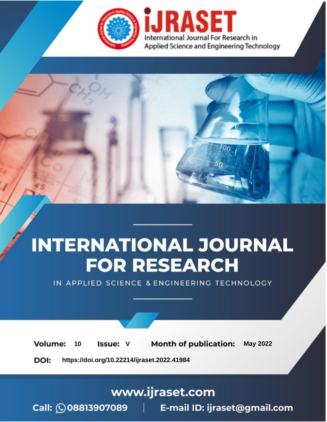

# **INTERNATIONAL JOURNAL FOR RESEARCH**

IN APPLIED SCIENCE & ENGINEERING TECHNOLOGY

Volume: **Month of publication: May 2022** 10 **Issue: V** 

DOI: https://doi.org/10.22214/ijraset.2022.41984

www.ijraset.com

 $Call: \bigcirc$ 08813907089 E-mail ID: ijraset@gmail.com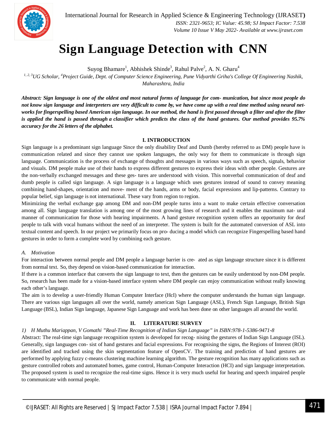

International Journal for Research in Applied Science & Engineering Technology (IJRASET**)**  *ISSN: 2321-9653; IC Value: 45.98; SJ Impact Factor: 7.538 Volume 10 Issue V May 2022- Available at www.ijraset.com*

### **Sign Language Detection with CNN**

Suyog Bhamare<sup>1</sup>, Abhishek Shinde<sup>3</sup>, Rahul Palve<sup>2</sup>, A. N. Gharu<sup>4</sup>

*1, 2, <sup>3</sup>UG Scholar, <sup>4</sup>Project Guide, Dept. of Computer Science Engineering, Pune Vidyarthi Griha's College Of Engineering Nashik, Maharashtra, India*

*Abstract: Sign language is one of the oldest and most natural forms of language for com- munication, but since most people do*  not know sign language and interpreters are very difficult to come by, we have come up with a real time method using neural net*works for fingerspelling based American sign language. In our method, the hand is first passed through a filter and after the filter is applied the hand is passed through a classifier which predicts the class of the hand gestures. Our method provides 95.7% accuracy for the 26 letters of the alphabet.*

#### **I. INTRODUCTION**

Sign language is a predominant sign language Since the only disability Deaf and Dumb (hereby referred to as DM) people have is communication related and since they cannot use spoken languages, the only way for them to communicate is through sign language. Communication is the process of exchange of thoughts and messages in various ways such as speech, signals, behavior and visuals. DM people make use of their hands to express different gestures to express their ideas with other people. Gestures are the non-verbally exchanged messages and these ges- tures are understood with vision. This nonverbal communication of deaf and dumb people is called sign language. A sign language is a language which uses gestures instead of sound to convey meaning combining hand-shapes, orientation and move- ment of the hands, arms or body, facial expressions and lip-patterns. Contrary to popular belief, sign language is not international. These vary from region to region.

Minimizing the verbal exchange gap among DM and non-DM people turns into a want to make certain effective conversation among all. Sign language translation is among one of the most growing lines of research and it enables the maximum nat- ural manner of communication for those with hearing impairments. A hand gesture recognition system offers an opportunity for deaf people to talk with vocal humans without the need of an interpreter. The system is built for the automated conversion of ASL into textual content and speech. In our project we primarily focus on pro- ducing a model which can recognize Fingerspelling based hand gestures in order to form a complete word by combining each gesture.

#### *A. Motivation*

For interaction between normal people and DM people a language barrier is cre- ated as sign language structure since it is different from normal text. So, they depend on vision-based communication for interaction.

If there is a common interface that converts the sign language to text, then the gestures can be easily understood by non-DM people. So, research has been made for a vision-based interface system where DM people can enjoy communication without really knowing each other's language.

The aim is to develop a user-friendly Human Computer Interface (HcI) where the computer understands the human sign language. There are various sign languages all over the world, namely american Sign Language (ASL), French Sign Language, British Sign Language (BSL), Indian Sign language, Japanese Sign Language and work has been done on other languages all around the world.

#### **II. LITERATURE SURVEY**

#### *1) H Muthu Mariappan, V Gomathi "Real-Time Recognition of Indian Sign Language" in ISBN:978-1-5386-9471-8*

Abstract: The real-time sign language recognition system is developed for recog- nising the gestures of Indian Sign Language (ISL). Generally, sign languages con- sist of hand gestures and facial expressions. For recognising the signs, the Regions of Interest (ROI) are identified and tracked using the skin segmentation feature of OpenCV. The training and prediction of hand gestures are performed by applying fuzzy c-means clustering machine learning algorithm. The gesture recognition has many applications such as gesture controlled robots and automated homes, game control, Human-Computer Interaction (HCI) and sign language interpretation. The proposed system is used to recognize the real-time signs. Hence it is very much useful for hearing and speech impaired people to communicate with normal people.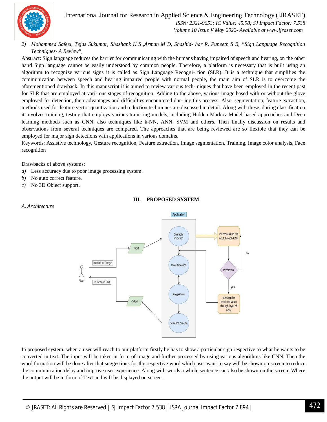

International Journal for Research in Applied Science & Engineering Technology (IJRASET**)**

 *ISSN: 2321-9653; IC Value: 45.98; SJ Impact Factor: 7.538 Volume 10 Issue V May 2022- Available at www.ijraset.com*

*2) Mohammed Safeel, Tejas Sukumar, Shashank K S ,Arman M D, Shashid- har R, Puneeth S B, "Sign Language Recognition Techniques- A Review",*

Abstract: Sign language reduces the barrier for communicating with the humans having impaired of speech and hearing, on the other hand Sign language cannot be easily understood by common people. Therefore, a platform is necessary that is built using an algorithm to recognize various signs it is called as Sign Language Recogni- tion (SLR). It is a technique that simplifies the communication between speech and hearing impaired people with normal people, the main aim of SLR is to overcome the aforementioned drawback. In this manuscript it is aimed to review various tech- niques that have been employed in the recent past for SLR that are employed at vari- ous stages of recognition. Adding to the above, various image based with or without the glove employed for detection, their advantages and difficulties encountered dur- ing this process. Also, segmentation, feature extraction, methods used for feature vector quantization and reduction techniques are discussed in detail. Along with these, during classification it involves training, testing that employs various train- ing models, including Hidden Markov Model based approaches and Deep learning methods such as CNN, also techniques like k-NN, ANN, SVM and others. Then finally discussion on results and observations from several techniques are compared. The approaches that are being reviewed are so flexible that they can be employed for major sign detections with applications in various domains.

Keywords: Assistive technology, Gesture recognition, Feature extraction, Image segmentation, Training, Image color analysis, Face recognition

Drawbacks of above systems:

- *a)* Less accuracy due to poor image processing system.
- *b)* No auto correct feature.
- *c)* No 3D Object support.

*A. Architecture*



#### **III. PROPOSED SYSTEM**

In proposed system, when a user will reach to our platform firstly he has to show a particular sign respective to what he wants to be converted in text. The input will be taken in form of image and further processed by using various algorithms like CNN. Then the word formation will be done after that suggestions for the respective word which user want to say will be shown on screen to reduce the communication delay and improve user experience. Along with words a whole sentence can also be shown on the screen. Where the output will be in form of Text and will be displayed on screen.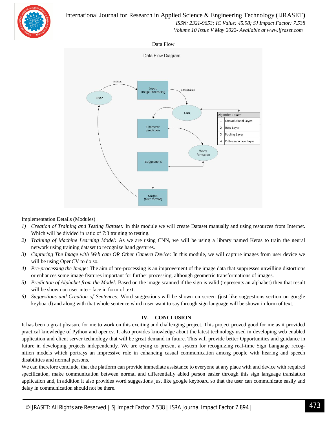

#### International Journal for Research in Applied Science & Engineering Technology (IJRASET**)**

 *ISSN: 2321-9653; IC Value: 45.98; SJ Impact Factor: 7.538*

 *Volume 10 Issue V May 2022- Available at www.ijraset.com*





#### Implementation Details (Modules)

- *1) Creation of Training and Testing Dataset:* In this module we will create Dataset manually and using resources from Internet. Which will be divided in ratio of 7:3 training to testing.
- *2) Training of Machine Learning Model:* As we are using CNN, we will be using a library named Keras to train the neural network using training dataset to recognize hand gestures.
- *3) Capturing The Image with Web cam OR Other Camera Device:* In this module, we will capture images from user device we will be using OpenCV to do so.
- *4) Pre-processing the Image:* The aim of pre-processing is an improvement of the image data that suppresses unwilling distortions or enhances some image features important for further processing, although geometric transformations of images.
- *5) Prediction of Alphabet from the Model:* Based on the image scanned if the sign is valid (represents an alphabet) then that result will be shown on user inter- face in form of text.
- *6) Suggestions and Creation of Sentences:* Word suggestions will be shown on screen (just like suggestions section on google keyboard) and along with that whole sentence which user want to say through sign language will be shown in form of text.

#### **IV. CONCLUSION**

It has been a great pleasure for me to work on this exciting and challenging project. This project proved good for me as it provided practical knowledge of Python and opencv. It also provides knowledge about the latest technology used in developing web enabled application and client server technology that will be great demand in future. This will provide better Opportunities and guidance in future in developing projects independently. We are trying to present a system for recognizing real-time Sign Language recognition models which portrays an impressive role in enhancing casual communication among people with hearing and speech disabilities and normal persons.

We can therefore conclude, that the platform can provide immediate assistance to everyone at any place with and device with required specification, make communication between normal and differentially abled person easier through this sign language translation application and, in addition it also provides word suggestions just like google keyboard so that the user can communicate easily and delay in communication should not be there.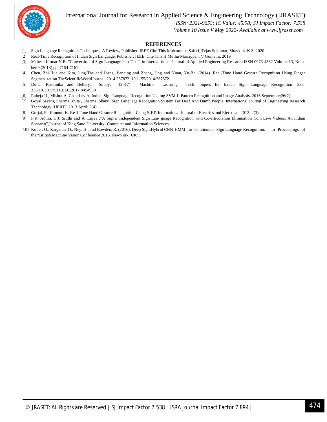International Journal for Research in Applied Science & Engineering Technology (IJRASET**)**



 *ISSN: 2321-9653; IC Value: 45.98; SJ Impact Factor: 7.538*

 *Volume 10 Issue V May 2022- Available at www.ijraset.com*

#### **REFERENCES**

- [1] Sign Language Recognition Techniques- A Review, Publisher: IEEE Cite This Mohammed Safeel; Tejas Sukumar; Shashank K S, 2020
- [2] Real-Time Recognition of Indian Sign Language, Publisher: IEEE, Cite This H Muthu Mariappan; V Gomathi, 2019
- [3] Mahesh Kumar N B, "Conversion of Sign Language into Text", in Interna- tional Journal of Applied Engineering Research ISSN 0973-4562 Volume 13, Number 9 (2018) pp. 7154-7161
- [4] Chen, Zhi-Hua and Kim, Jung-Tae and Liang, Jianning and Zhang, Jing and Yuan, Yu-Bo. (2014). Real-Time Hand Gesture Recognition Using Finger Segmen- tation.TheScientificWorldJournal. 2014.267872. 10.1155/2014/267872.
- [5] Dutta, Kusumika and Bellary, Sunny. (2017). Machine Learning Tech- niques for Indian Sign Language Recognition. 333- 336.10.1109/CTCEEC.2017.8454988
- [6] Raheja JL, Mishra A, Chaudary A. Indian Sign Language Recognition Us- ing SVM 1. Pattern Recognition and Image Analysis. 2016 September;26(2).
- [7] Goyal,Sakshi, Sharma,Ishita , Sharma, Shanu. Sign Language Recognition System For Deaf And Dumb People. International Journal of Engineering Research Technology (IJERT). 2013 April; 2(4).
- [8] Gurjal, P., Kunnur, K. Real Time Hand Gesture Recognition Using SIFT. International Journal of Electrics and Electrical. 2012; 2(3).
- [9] P.K. Athira, C.J. Sruthi and A. Lijiya ,"A Signer Independent Sign Lan- guage Recognition with Co-articulation Elimination from Live Videos: An Indian Scenario",Journal of King Saud University -Computer and Information Sciences.
- [10] Koller, O., Zargaran, O., Ney, H., and Bowden, R. (2016). Deep Sign:Hybrid CNN-HMM for Continuous Sign Language Recognition. In Proceedings of the "British Machine Vision Conference 2016. NewYork, UK".